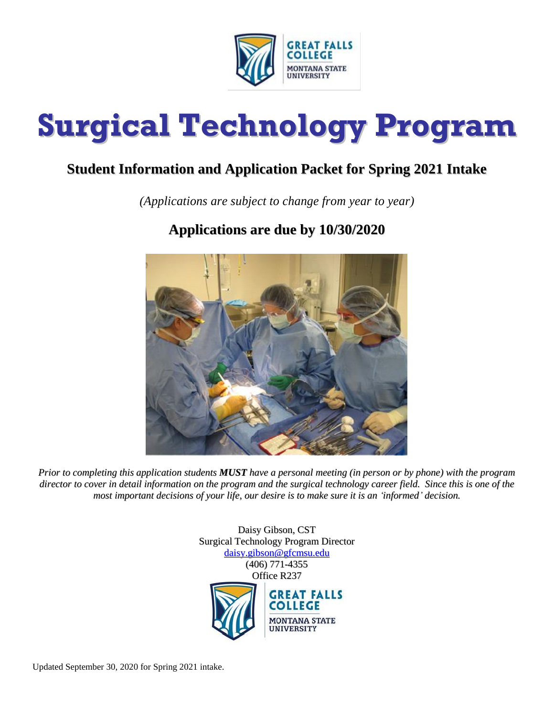

# **Surgical Technology Program**

# **Student Information and Application Packet for Spring 2021 Intake**

*(Applications are subject to change from year to year)*

# **Applications are due by 10/30/2020**



Prior to completing this application students MUST have a personal meeting (in person or by phone) with the program director to cover in detail information on the program and the surgical technology career field. Since this is one of the *most important decisions of your life, our desire is to make sure it is an 'informed' decision.*

> Daisy Gibson, CST Surgical Technology Program Director [daisy.gibson@gfcmsu.edu](mailto:daisy.gibson@gfcmsu.edu) (406) 771-4355 Office R237**GREAT FALLS COLLEGE**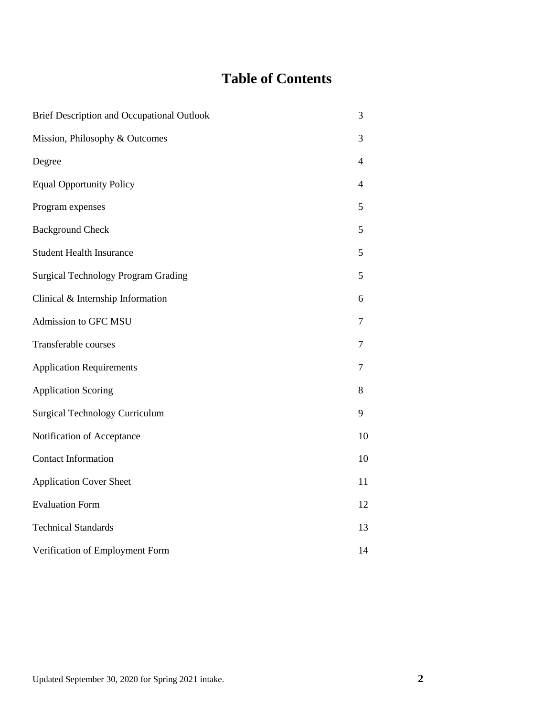# **Table of Contents**

| <b>Brief Description and Occupational Outlook</b> | 3              |
|---------------------------------------------------|----------------|
| Mission, Philosophy & Outcomes                    | 3              |
| Degree                                            | 4              |
| <b>Equal Opportunity Policy</b>                   | 4              |
| Program expenses                                  | 5              |
| <b>Background Check</b>                           | 5              |
| <b>Student Health Insurance</b>                   | 5              |
| <b>Surgical Technology Program Grading</b>        | 5              |
| Clinical & Internship Information                 | 6              |
| Admission to GFC MSU                              | $\overline{7}$ |
| Transferable courses                              | 7              |
| <b>Application Requirements</b>                   | 7              |
| <b>Application Scoring</b>                        | 8              |
| <b>Surgical Technology Curriculum</b>             | 9              |
| Notification of Acceptance                        | 10             |
| <b>Contact Information</b>                        | 10             |
| <b>Application Cover Sheet</b>                    | 11             |
| <b>Evaluation Form</b>                            | 12             |
| <b>Technical Standards</b>                        | 13             |
| Verification of Employment Form                   | 14             |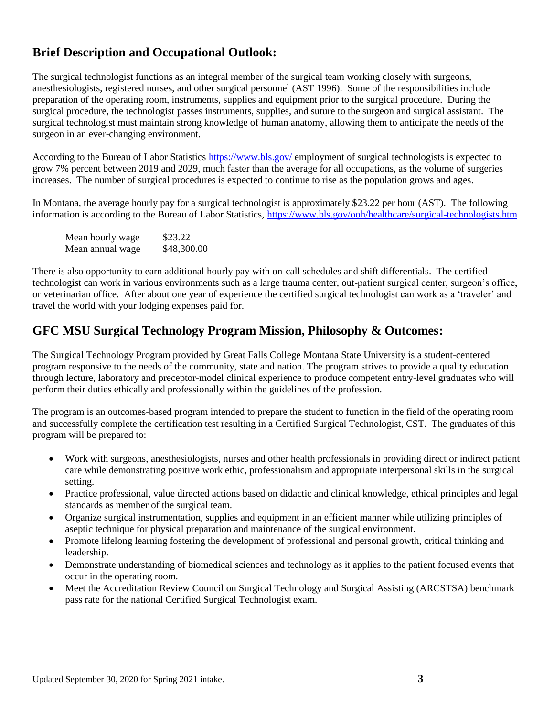#### **Brief Description and Occupational Outlook:**

The surgical technologist functions as an integral member of the surgical team working closely with surgeons, anesthesiologists, registered nurses, and other surgical personnel (AST 1996). Some of the responsibilities include preparation of the operating room, instruments, supplies and equipment prior to the surgical procedure. During the surgical procedure, the technologist passes instruments, supplies, and suture to the surgeon and surgical assistant. The surgical technologist must maintain strong knowledge of human anatomy, allowing them to anticipate the needs of the surgeon in an ever-changing environment.

According to the Bureau of Labor Statistics <https://www.bls.gov/> employment of surgical technologists is expected to grow 7% percent between 2019 and 2029, much faster than the average for all occupations, as the volume of surgeries increases. The number of surgical procedures is expected to continue to rise as the population grows and ages.

In Montana, the average hourly pay for a surgical technologist is approximately \$23.22 per hour (AST). The following information is according to the Bureau of Labor Statistics, <https://www.bls.gov/ooh/healthcare/surgical-technologists.htm>

| Mean hourly wage | \$23.22     |
|------------------|-------------|
| Mean annual wage | \$48,300.00 |

There is also opportunity to earn additional hourly pay with on-call schedules and shift differentials. The certified technologist can work in various environments such as a large trauma center, out-patient surgical center, surgeon's office, or veterinarian office. After about one year of experience the certified surgical technologist can work as a 'traveler' and travel the world with your lodging expenses paid for.

#### **GFC MSU Surgical Technology Program Mission, Philosophy & Outcomes:**

The Surgical Technology Program provided by Great Falls College Montana State University is a student-centered program responsive to the needs of the community, state and nation. The program strives to provide a quality education through lecture, laboratory and preceptor-model clinical experience to produce competent entry-level graduates who will perform their duties ethically and professionally within the guidelines of the profession.

The program is an outcomes-based program intended to prepare the student to function in the field of the operating room and successfully complete the certification test resulting in a Certified Surgical Technologist, CST. The graduates of this program will be prepared to:

- Work with surgeons, anesthesiologists, nurses and other health professionals in providing direct or indirect patient care while demonstrating positive work ethic, professionalism and appropriate interpersonal skills in the surgical setting.
- Practice professional, value directed actions based on didactic and clinical knowledge, ethical principles and legal standards as member of the surgical team.
- Organize surgical instrumentation, supplies and equipment in an efficient manner while utilizing principles of aseptic technique for physical preparation and maintenance of the surgical environment.
- Promote lifelong learning fostering the development of professional and personal growth, critical thinking and leadership.
- Demonstrate understanding of biomedical sciences and technology as it applies to the patient focused events that occur in the operating room.
- Meet the Accreditation Review Council on Surgical Technology and Surgical Assisting (ARCSTSA) benchmark pass rate for the national Certified Surgical Technologist exam.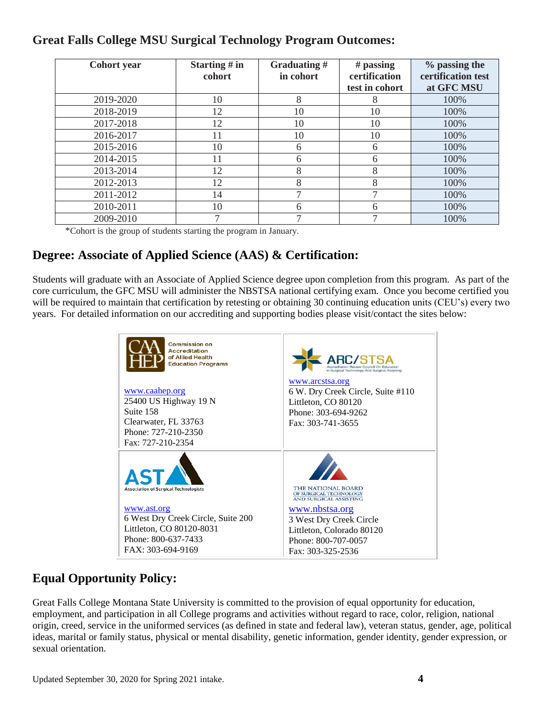# **Great Falls College MSU Surgical Technology Program Outcomes:**

| <b>Cohort</b> year | Starting $#$ in<br>cohort | Graduating#<br>in cohort | $#$ passing<br>certification<br>test in cohort | % passing the<br>certification test<br>at GFC MSU |
|--------------------|---------------------------|--------------------------|------------------------------------------------|---------------------------------------------------|
| 2019-2020          | 10                        | 8                        | 8                                              | 100%                                              |
| 2018-2019          | 12                        | 10                       | 10                                             | 100%                                              |
| 2017-2018          | 12                        | 10                       | 10                                             | 100%                                              |
| 2016-2017          | 11                        | 10                       | 10                                             | 100%                                              |
| 2015-2016          | 10                        | 6                        | 6                                              | 100%                                              |
| 2014-2015          |                           | 6                        | 6                                              | 100%                                              |
| 2013-2014          | 12                        | 8                        | 8                                              | 100%                                              |
| 2012-2013          | 12                        | 8                        | 8                                              | 100%                                              |
| 2011-2012          | 14                        |                          |                                                | 100%                                              |
| 2010-2011          | 10                        | 6                        | 6                                              | 100%                                              |
| 2009-2010          |                           |                          |                                                | 100%                                              |

\*Cohort is the group of students starting the program in January.

# **Degree: Associate of Applied Science (AAS) & Certification:**

Students will graduate with an Associate of Applied Science degree upon completion from this program. As part of the core curriculum, the GFC MSU will administer the NBSTSA national certifying exam. Once you become certified you will be required to maintain that certification by retesting or obtaining 30 continuing education units (CEU's) every two years. For detailed information on our accrediting and supporting bodies please visit/contact the sites below:

| <b>Commission on</b><br><b>Accreditation</b><br>of Allied Health<br><b>Education Programs</b>                             | gical Technology And Surgical Assisting                                                                                 |
|---------------------------------------------------------------------------------------------------------------------------|-------------------------------------------------------------------------------------------------------------------------|
| www.caahep.org<br>25400 US Highway 19 N<br>Suite 158<br>Clearwater, FL 33763<br>Phone: 727-210-2350<br>Fax: 727-210-2354  | www.arcstsa.org<br>6 W. Dry Creek Circle, Suite #110<br>Littleton, CO 80120<br>Phone: 303-694-9262<br>Fax: 303-741-3655 |
| <b>AST</b><br><b>Association of Surgical Technologists</b>                                                                | <b>THE NATIONAL BOARD</b><br>OF SURGICAL TECHNOLOGY<br>AND SURGICAL ASSISTING                                           |
| www.ast.org<br>6 West Dry Creek Circle, Suite 200<br>Littleton, CO 80120-8031<br>Phone: 800-637-7433<br>FAX: 303-694-9169 | www.nbstsa.org<br>3 West Dry Creek Circle<br>Littleton, Colorado 80120<br>Phone: 800-707-0057<br>Fax: 303-325-2536      |

# **Equal Opportunity Policy:**

Great Falls College Montana State University is committed to the provision of equal opportunity for education, employment, and participation in all College programs and activities without regard to race, color, religion, national origin, creed, service in the uniformed services (as defined in state and federal law), veteran status, gender, age, political ideas, marital or family status, physical or mental disability, genetic information, gender identity, gender expression, or sexual orientation.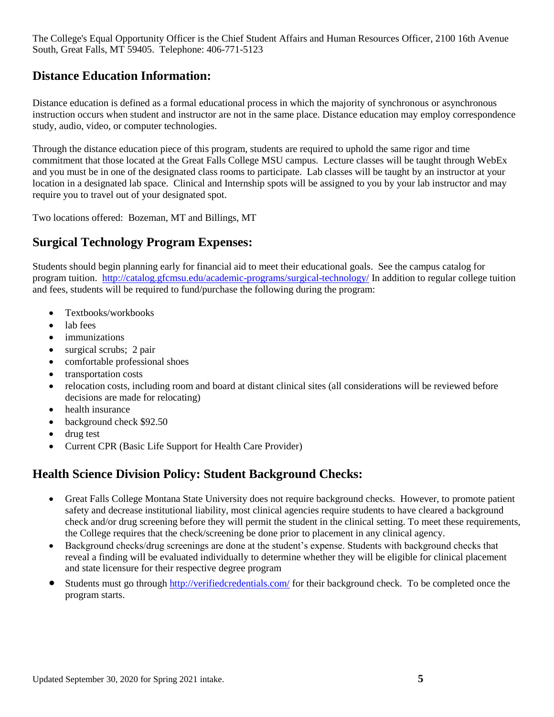The College's Equal Opportunity Officer is the Chief Student Affairs and Human Resources Officer, 2100 16th Avenue South, Great Falls, MT 59405. Telephone: 406-771-5123

## **Distance Education Information:**

Distance education is defined as a formal educational process in which the majority of synchronous or asynchronous instruction occurs when student and instructor are not in the same place. Distance education may employ correspondence study, audio, video, or computer technologies.

Through the distance education piece of this program, students are required to uphold the same rigor and time commitment that those located at the Great Falls College MSU campus. Lecture classes will be taught through WebEx and you must be in one of the designated class rooms to participate. Lab classes will be taught by an instructor at your location in a designated lab space. Clinical and Internship spots will be assigned to you by your lab instructor and may require you to travel out of your designated spot.

Two locations offered: Bozeman, MT and Billings, MT

#### **Surgical Technology Program Expenses:**

Students should begin planning early for financial aid to meet their educational goals. See the campus catalog for program tuition. <http://catalog.gfcmsu.edu/academic-programs/surgical-technology/> In addition to regular college tuition and fees, students will be required to fund/purchase the following during the program:

- Textbooks/workbooks
- lab fees
- immunizations
- surgical scrubs; 2 pair
- comfortable professional shoes
- transportation costs
- relocation costs, including room and board at distant clinical sites (all considerations will be reviewed before decisions are made for relocating)
- health insurance
- background check \$92.50
- drug test
- Current CPR (Basic Life Support for Health Care Provider)

#### **Health Science Division Policy: Student Background Checks:**

- Great Falls College Montana State University does not require background checks. However, to promote patient safety and decrease institutional liability, most clinical agencies require students to have cleared a background check and/or drug screening before they will permit the student in the clinical setting. To meet these requirements, the College requires that the check/screening be done prior to placement in any clinical agency.
- Background checks/drug screenings are done at the student's expense. Students with background checks that reveal a finding will be evaluated individually to determine whether they will be eligible for clinical placement and state licensure for their respective degree program
- Students must go through<http://verifiedcredentials.com/> for their background check. To be completed once the program starts.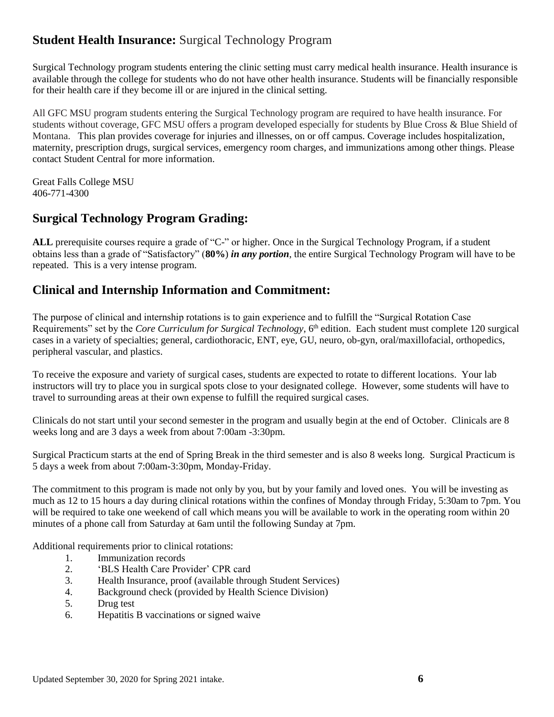### **Student Health Insurance:** Surgical Technology Program

Surgical Technology program students entering the clinic setting must carry medical health insurance. Health insurance is available through the college for students who do not have other health insurance. Students will be financially responsible for their health care if they become ill or are injured in the clinical setting.

All GFC MSU program students entering the Surgical Technology program are required to have health insurance. For students without coverage, GFC MSU offers a program developed especially for students by Blue Cross & Blue Shield of Montana. This plan provides coverage for injuries and illnesses, on or off campus. Coverage includes hospitalization, maternity, prescription drugs, surgical services, emergency room charges, and immunizations among other things. Please contact Student Central for more information.

Great Falls College MSU 406-771-4300

#### **Surgical Technology Program Grading:**

**ALL** prerequisite courses require a grade of "C-" or higher. Once in the Surgical Technology Program, if a student obtains less than a grade of "Satisfactory" (**80%**) *in any portion*, the entire Surgical Technology Program will have to be repeated. This is a very intense program.

#### **Clinical and Internship Information and Commitment:**

The purpose of clinical and internship rotations is to gain experience and to fulfill the "Surgical Rotation Case Requirements" set by the *Core Curriculum for Surgical Technology*, 6<sup>th</sup> edition. Each student must complete 120 surgical cases in a variety of specialties; general, cardiothoracic, ENT, eye, GU, neuro, ob-gyn, oral/maxillofacial, orthopedics, peripheral vascular, and plastics.

To receive the exposure and variety of surgical cases, students are expected to rotate to different locations. Your lab instructors will try to place you in surgical spots close to your designated college. However, some students will have to travel to surrounding areas at their own expense to fulfill the required surgical cases.

Clinicals do not start until your second semester in the program and usually begin at the end of October. Clinicals are 8 weeks long and are 3 days a week from about 7:00am -3:30pm.

Surgical Practicum starts at the end of Spring Break in the third semester and is also 8 weeks long. Surgical Practicum is 5 days a week from about 7:00am-3:30pm, Monday-Friday.

The commitment to this program is made not only by you, but by your family and loved ones. You will be investing as much as 12 to 15 hours a day during clinical rotations within the confines of Monday through Friday, 5:30am to 7pm. You will be required to take one weekend of call which means you will be available to work in the operating room within 20 minutes of a phone call from Saturday at 6am until the following Sunday at 7pm.

Additional requirements prior to clinical rotations:

- 1. Immunization records
- 2. 'BLS Health Care Provider' CPR card
- 3. Health Insurance, proof (available through Student Services)
- 4. Background check (provided by Health Science Division)
- 5. Drug test
- 6. Hepatitis B vaccinations or signed waive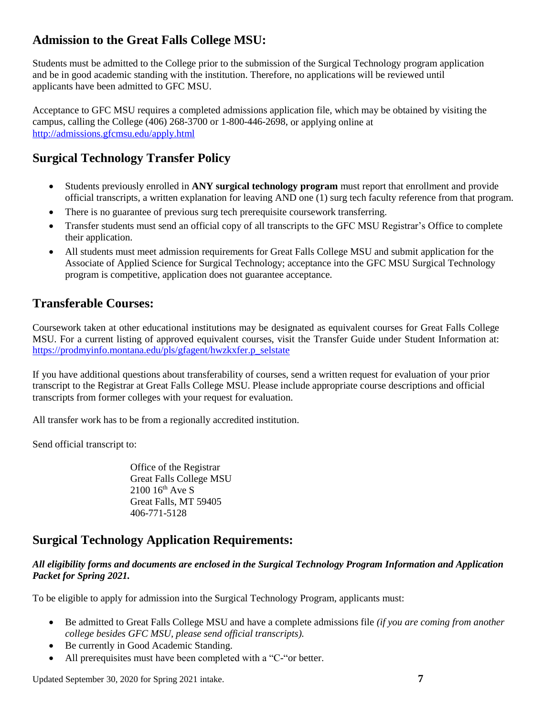# **Admission to the Great Falls College MSU:**

Students must be admitted to the College prior to the submission of the Surgical Technology program application and be in good academic standing with the institution. Therefore, no applications will be reviewed until applicants have been admitted to GFC MSU.

Acceptance to GFC MSU requires a completed admissions application file, which may be obtained by visiting the campus, calling the College (406) 268-3700 or 1-800-446-2698, or applying online at <http://admissions.gfcmsu.edu/apply.html>

# **Surgical Technology Transfer Policy**

- Students previously enrolled in **ANY surgical technology program** must report that enrollment and provide official transcripts, a written explanation for leaving AND one (1) surg tech faculty reference from that program.
- There is no guarantee of previous surg tech prerequisite coursework transferring.
- Transfer students must send an official copy of all transcripts to the GFC MSU Registrar's Office to complete their application.
- All students must meet admission requirements for Great Falls College MSU and submit application for the Associate of Applied Science for Surgical Technology; acceptance into the GFC MSU Surgical Technology program is competitive, application does not guarantee acceptance.

#### **Transferable Courses:**

Coursework taken at other educational institutions may be designated as equivalent courses for Great Falls College MSU. For a current listing of approved equivalent courses, visit the Transfer Guide under Student Information at: [https://prodmyinfo.montana.edu/pls/gfagent/hwzkxfer.p\\_selstate](https://prodmyinfo.montana.edu/pls/gfagent/hwzkxfer.p_selstate)

If you have additional questions about transferability of courses, send a written request for evaluation of your prior transcript to the Registrar at Great Falls College MSU. Please include appropriate course descriptions and official transcripts from former colleges with your request for evaluation.

All transfer work has to be from a regionally accredited institution.

Send official transcript to:

Office of the Registrar Great Falls College MSU  $2100 16^{th}$  Ave S Great Falls, MT 59405 406-771-5128

#### **Surgical Technology Application Requirements:**

#### *All eligibility forms and documents are enclosed in the Surgical Technology Program Information and Application Packet for Spring 2021.*

To be eligible to apply for admission into the Surgical Technology Program, applicants must:

- Be admitted to Great Falls College MSU and have a complete admissions file *(if you are coming from another college besides GFC MSU, please send official transcripts).*
- Be currently in Good Academic Standing.
- All prerequisites must have been completed with a "C-"or better.

Updated September 30, 2020 for Spring 2021 intake. **7**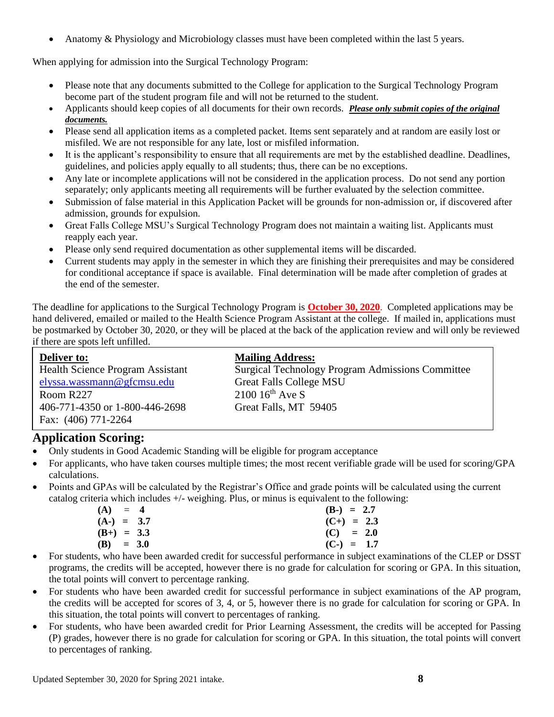Anatomy & Physiology and Microbiology classes must have been completed within the last 5 years.

When applying for admission into the Surgical Technology Program:

- Please note that any documents submitted to the College for application to the Surgical Technology Program become part of the student program file and will not be returned to the student.
- Applicants should keep copies of all documents for their own records. *Please only submit copies of the original documents.*
- Please send all application items as a completed packet. Items sent separately and at random are easily lost or misfiled. We are not responsible for any late, lost or misfiled information.
- It is the applicant's responsibility to ensure that all requirements are met by the established deadline. Deadlines, guidelines, and policies apply equally to all students; thus, there can be no exceptions.
- Any late or incomplete applications will not be considered in the application process. Do not send any portion separately; only applicants meeting all requirements will be further evaluated by the selection committee.
- Submission of false material in this Application Packet will be grounds for non-admission or, if discovered after admission, grounds for expulsion.
- Great Falls College MSU's Surgical Technology Program does not maintain a waiting list. Applicants must reapply each year.
- Please only send required documentation as other supplemental items will be discarded.
- Current students may apply in the semester in which they are finishing their prerequisites and may be considered for conditional acceptance if space is available. Final determination will be made after completion of grades at the end of the semester.

The deadline for applications to the Surgical Technology Program is **October 30, 2020**. Completed applications may be hand delivered, emailed or mailed to the Health Science Program Assistant at the college. If mailed in, applications must be postmarked by October 30, 2020, or they will be placed at the back of the application review and will only be reviewed if there are spots left unfilled.

| <b>Deliver to:</b>               | <b>Mailing Address:</b>                                 |
|----------------------------------|---------------------------------------------------------|
| Health Science Program Assistant | <b>Surgical Technology Program Admissions Committee</b> |
| elyssa.wassmann@gfcmsu.edu       | <b>Great Falls College MSU</b>                          |
| Room R227                        | $2100~16^{\text{th}}$ Ave S                             |
| 406-771-4350 or 1-800-446-2698   | Great Falls, MT 59405                                   |
| Fax: (406) 771-2264              |                                                         |

# **Application Scoring:**

- Only students in Good Academic Standing will be eligible for program acceptance
- For applicants, who have taken courses multiple times; the most recent verifiable grade will be used for scoring/GPA calculations.
- Points and GPAs will be calculated by the Registrar's Office and grade points will be calculated using the current catalog criteria which includes +/- weighing. Plus, or minus is equivalent to the following:

| $(A) = 4$    |  | $(B-) = 2.7$ |  |
|--------------|--|--------------|--|
| $(A-) = 3.7$ |  | $(C+) = 2.3$ |  |
| $(B+) = 3.3$ |  | $(C) = 2.0$  |  |
| $(B) = 3.0$  |  | $(C-) = 1.7$ |  |

- For students, who have been awarded credit for successful performance in subject examinations of the CLEP or DSST programs, the credits will be accepted, however there is no grade for calculation for scoring or GPA. In this situation, the total points will convert to percentage ranking.
- For students who have been awarded credit for successful performance in subject examinations of the AP program, the credits will be accepted for scores of 3, 4, or 5, however there is no grade for calculation for scoring or GPA. In this situation, the total points will convert to percentages of ranking.
- For students, who have been awarded credit for Prior Learning Assessment, the credits will be accepted for Passing (P) grades, however there is no grade for calculation for scoring or GPA. In this situation, the total points will convert to percentages of ranking.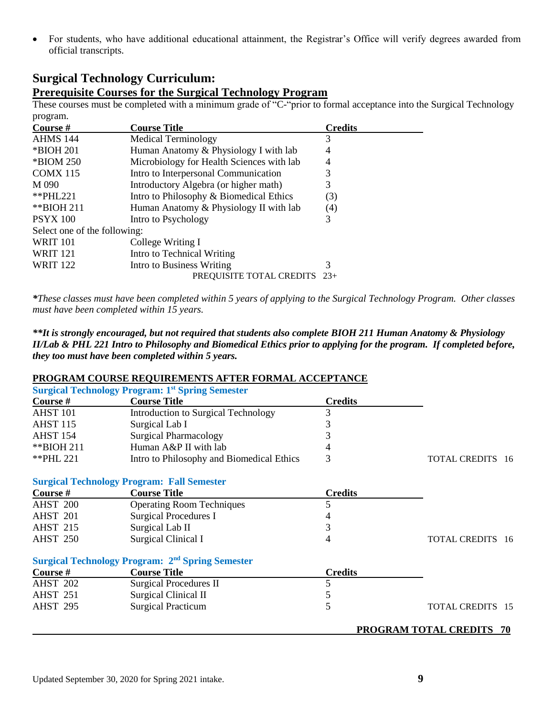For students, who have additional educational attainment, the Registrar's Office will verify degrees awarded from official transcripts.

#### **Surgical Technology Curriculum: Prerequisite Courses for the Surgical Technology Program**

These courses must be completed with a minimum grade of "C-"prior to formal acceptance into the Surgical Technology program.

| Course #                     | <b>Course Title</b>                       | <b>Credits</b> |
|------------------------------|-------------------------------------------|----------------|
| <b>AHMS 144</b>              | <b>Medical Terminology</b>                | 3              |
| <i>*</i> BIOH 201            | Human Anatomy & Physiology I with lab     | 4              |
| <i>*BIOM 250</i>             | Microbiology for Health Sciences with lab | 4              |
| <b>COMX 115</b>              | Intro to Interpersonal Communication      | 3              |
| M 090                        | Introductory Algebra (or higher math)     | 3              |
| **PHL221                     | Intro to Philosophy & Biomedical Ethics   | (3)            |
| $*$ $BIOH 211$               | Human Anatomy & Physiology II with lab    | (4)            |
| <b>PSYX 100</b>              | Intro to Psychology                       | 3              |
| Select one of the following: |                                           |                |
| <b>WRIT 101</b>              | College Writing I                         |                |
| <b>WRIT 121</b>              | Intro to Technical Writing                |                |
| <b>WRIT 122</b>              | Intro to Business Writing                 | 3              |
|                              | PREQUISITE TOTAL CREDITS 23+              |                |

*\*These classes must have been completed within 5 years of applying to the Surgical Technology Program. Other classes must have been completed within 15 years.*

*\*\*It is strongly encouraged, but not required that students also complete BIOH 211 Human Anatomy & Physiology II/Lab & PHL 221 Intro to Philosophy and Biomedical Ethics prior to applying for the program. If completed before, they too must have been completed within 5 years.*

|                 | <b>Surgical Technology Program: 1st Spring Semester</b>            |                |                                 |
|-----------------|--------------------------------------------------------------------|----------------|---------------------------------|
| Course #        | <b>Course Title</b>                                                | <b>Credits</b> |                                 |
| AHST 101        | <b>Introduction to Surgical Technology</b>                         | 3              |                                 |
| <b>AHST 115</b> | Surgical Lab I                                                     | 3              |                                 |
| AHST 154        | <b>Surgical Pharmacology</b>                                       | 3              |                                 |
| **BIOH 211      | Human A&P II with lab                                              | 4              |                                 |
| ** PHL 221      | Intro to Philosophy and Biomedical Ethics                          | 3              | <b>TOTAL CREDITS</b><br>- 16    |
|                 | <b>Surgical Technology Program: Fall Semester</b>                  |                |                                 |
| Course #        | <b>Course Title</b>                                                | <b>Credits</b> |                                 |
| AHST 200        | <b>Operating Room Techniques</b>                                   | 5              |                                 |
| <b>AHST 201</b> | <b>Surgical Procedures I</b>                                       | 4              |                                 |
| <b>AHST 215</b> | Surgical Lab II                                                    | 3              |                                 |
| <b>AHST 250</b> | Surgical Clinical I                                                | 4              | <b>TOTAL CREDITS</b><br>- 16    |
|                 | <b>Surgical Technology Program: 2<sup>nd</sup> Spring Semester</b> |                |                                 |
| Course #        | <b>Course Title</b>                                                | <b>Credits</b> |                                 |
| <b>AHST 202</b> | <b>Surgical Procedures II</b>                                      | 5              |                                 |
| <b>AHST 251</b> | Surgical Clinical II                                               | 5              |                                 |
| <b>AHST 295</b> | <b>Surgical Practicum</b>                                          | 5              | <b>TOTAL CREDITS 15</b>         |
|                 |                                                                    |                | <b>PROGRAM TOTAL CREDITS 70</b> |

#### **PROGRAM COURSE REQUIREMENTS AFTER FORMAL ACCEPTANCE**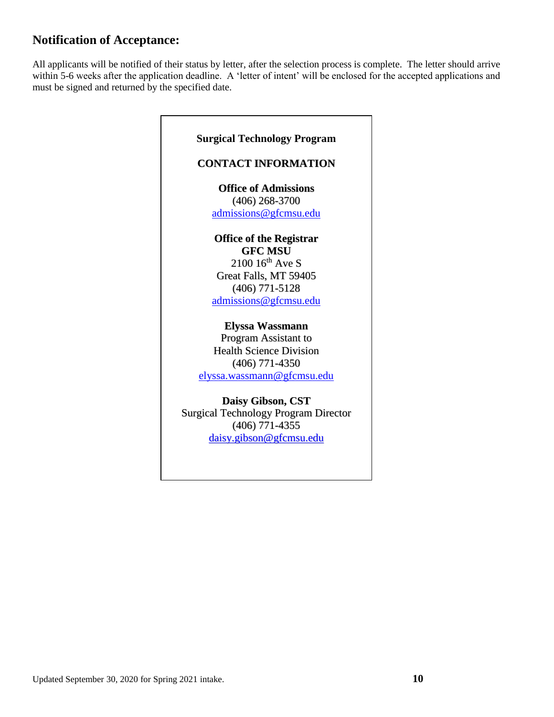#### **Notification of Acceptance:**

All applicants will be notified of their status by letter, after the selection process is complete. The letter should arrive within 5-6 weeks after the application deadline. A 'letter of intent' will be enclosed for the accepted applications and must be signed and returned by the specified date.

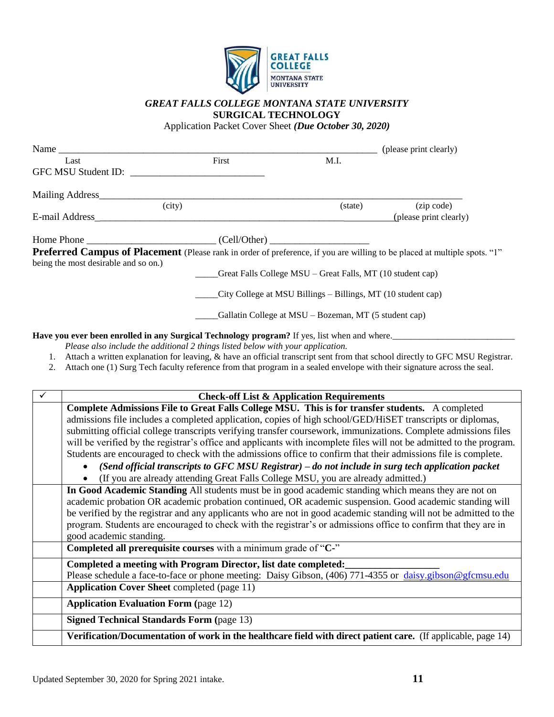

#### *GREAT FALLS COLLEGE MONTANA STATE UNIVERSITY* **SURGICAL TECHNOLOGY**

Application Packet Cover Sheet *(Due October 30, 2020)*

|                                                                                                                                                                   |        |                                                              | (please print clearly) |
|-------------------------------------------------------------------------------------------------------------------------------------------------------------------|--------|--------------------------------------------------------------|------------------------|
| Last                                                                                                                                                              | First  | M.I.                                                         |                        |
| GFC MSU Student ID:                                                                                                                                               |        |                                                              |                        |
| Mailing Address                                                                                                                                                   |        |                                                              |                        |
|                                                                                                                                                                   | (city) | (state)                                                      | (zip code)             |
| E-mail Address                                                                                                                                                    |        |                                                              | (please print clearly) |
|                                                                                                                                                                   |        |                                                              |                        |
| Preferred Campus of Placement (Please rank in order of preference, if you are willing to be placed at multiple spots. "1"<br>being the most desirable and so on.) |        |                                                              |                        |
|                                                                                                                                                                   |        | Great Falls College MSU – Great Falls, MT (10 student cap)   |                        |
|                                                                                                                                                                   |        | City College at MSU Billings – Billings, MT (10 student cap) |                        |
|                                                                                                                                                                   |        | Gallatin College at MSU – Bozeman, MT (5 student cap)        |                        |
| Have you ever been enrolled in any Surgical Technology program? If yes, list when and where.                                                                      |        |                                                              |                        |

*Please also include the additional 2 things listed below with your application.*

- 1. Attach a written explanation for leaving, & have an official transcript sent from that school directly to GFC MSU Registrar.
- 2. Attach one (1) Surg Tech faculty reference from that program in a sealed envelope with their signature across the seal.

| <b>Check-off List &amp; Application Requirements</b>                                                                 |
|----------------------------------------------------------------------------------------------------------------------|
| Complete Admissions File to Great Falls College MSU. This is for transfer students. A completed                      |
| admissions file includes a completed application, copies of high school/GED/HiSET transcripts or diplomas,           |
| submitting official college transcripts verifying transfer coursework, immunizations. Complete admissions files      |
| will be verified by the registrar's office and applicants with incomplete files will not be admitted to the program. |
| Students are encouraged to check with the admissions office to confirm that their admissions file is complete.       |
| (Send official transcripts to GFC MSU Registrar) – do not include in surg tech application packet                    |
| (If you are already attending Great Falls College MSU, you are already admitted.)                                    |
| In Good Academic Standing All students must be in good academic standing which means they are not on                 |
| academic probation OR academic probation continued, OR academic suspension. Good academic standing will              |
| be verified by the registrar and any applicants who are not in good academic standing will not be admitted to the    |
| program. Students are encouraged to check with the registrar's or admissions office to confirm that they are in      |
| good academic standing.                                                                                              |
| Completed all prerequisite courses with a minimum grade of "C-"                                                      |
| Completed a meeting with Program Director, list date completed:                                                      |
| Please schedule a face-to-face or phone meeting: Daisy Gibson, (406) 771-4355 or daisy.gibson@gfcmsu.edu             |
| <b>Application Cover Sheet completed (page 11)</b>                                                                   |
| <b>Application Evaluation Form (page 12)</b>                                                                         |
| <b>Signed Technical Standards Form (page 13)</b>                                                                     |
| Verification/Documentation of work in the healthcare field with direct patient care. (If applicable, page 14)        |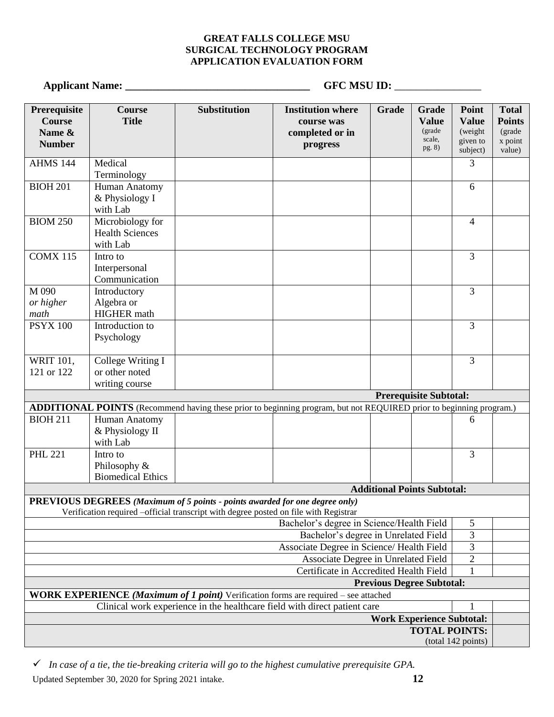#### **GREAT FALLS COLLEGE MSU SURGICAL TECHNOLOGY PROGRAM APPLICATION EVALUATION FORM**

#### **Applicant Name: \_\_\_\_\_\_\_\_\_\_\_\_\_\_\_\_\_\_\_\_\_\_\_\_\_\_\_\_\_\_\_\_\_\_ GFC MSU ID:** \_\_\_\_\_\_\_\_\_\_\_\_\_\_\_\_

| Prerequisite<br><b>Course</b> | <b>Course</b><br><b>Title</b> | <b>Substitution</b>                                                                                                                                                        | <b>Institution where</b><br>course was                                                                                     | Grade                              | Grade<br><b>Value</b>         | Point<br><b>Value</b> | <b>Total</b><br><b>Points</b> |
|-------------------------------|-------------------------------|----------------------------------------------------------------------------------------------------------------------------------------------------------------------------|----------------------------------------------------------------------------------------------------------------------------|------------------------------------|-------------------------------|-----------------------|-------------------------------|
| Name &                        |                               |                                                                                                                                                                            | completed or in                                                                                                            |                                    | (grade)                       | (weight)              | (grade                        |
| <b>Number</b>                 |                               |                                                                                                                                                                            | progress                                                                                                                   |                                    | scale,<br>pg. 8)              | given to<br>subject)  | x point<br>value)             |
| <b>AHMS 144</b>               | Medical                       |                                                                                                                                                                            |                                                                                                                            |                                    |                               | 3                     |                               |
|                               | Terminology                   |                                                                                                                                                                            |                                                                                                                            |                                    |                               |                       |                               |
| <b>BIOH 201</b>               | Human Anatomy                 |                                                                                                                                                                            |                                                                                                                            |                                    |                               | 6                     |                               |
|                               | & Physiology I<br>with Lab    |                                                                                                                                                                            |                                                                                                                            |                                    |                               |                       |                               |
| <b>BIOM 250</b>               | Microbiology for              |                                                                                                                                                                            |                                                                                                                            |                                    |                               | $\overline{4}$        |                               |
|                               | <b>Health Sciences</b>        |                                                                                                                                                                            |                                                                                                                            |                                    |                               |                       |                               |
| <b>COMX 115</b>               | with Lab<br>Intro to          |                                                                                                                                                                            |                                                                                                                            |                                    |                               | $\overline{3}$        |                               |
|                               | Interpersonal                 |                                                                                                                                                                            |                                                                                                                            |                                    |                               |                       |                               |
|                               | Communication                 |                                                                                                                                                                            |                                                                                                                            |                                    |                               |                       |                               |
| M 090                         | Introductory                  |                                                                                                                                                                            |                                                                                                                            |                                    |                               | $\overline{3}$        |                               |
| or higher                     | Algebra or                    |                                                                                                                                                                            |                                                                                                                            |                                    |                               |                       |                               |
| math                          | <b>HIGHER</b> math            |                                                                                                                                                                            |                                                                                                                            |                                    |                               |                       |                               |
| <b>PSYX 100</b>               | Introduction to               |                                                                                                                                                                            |                                                                                                                            |                                    |                               | $\overline{3}$        |                               |
|                               | Psychology                    |                                                                                                                                                                            |                                                                                                                            |                                    |                               |                       |                               |
| WRIT 101,                     | College Writing I             |                                                                                                                                                                            |                                                                                                                            |                                    |                               | 3                     |                               |
| 121 or 122                    | or other noted                |                                                                                                                                                                            |                                                                                                                            |                                    |                               |                       |                               |
|                               | writing course                |                                                                                                                                                                            |                                                                                                                            |                                    |                               |                       |                               |
|                               |                               |                                                                                                                                                                            |                                                                                                                            |                                    | <b>Prerequisite Subtotal:</b> |                       |                               |
| <b>BIOH 211</b>               | Human Anatomy                 |                                                                                                                                                                            | <b>ADDITIONAL POINTS</b> (Recommend having these prior to beginning program, but not REQUIRED prior to beginning program.) |                                    |                               |                       |                               |
|                               | & Physiology II               |                                                                                                                                                                            |                                                                                                                            |                                    |                               | 6                     |                               |
|                               | with Lab                      |                                                                                                                                                                            |                                                                                                                            |                                    |                               |                       |                               |
| <b>PHL 221</b>                | Intro to                      |                                                                                                                                                                            |                                                                                                                            |                                    |                               | $\overline{3}$        |                               |
|                               | Philosophy &                  |                                                                                                                                                                            |                                                                                                                            |                                    |                               |                       |                               |
|                               | <b>Biomedical Ethics</b>      |                                                                                                                                                                            |                                                                                                                            |                                    |                               |                       |                               |
|                               |                               |                                                                                                                                                                            |                                                                                                                            | <b>Additional Points Subtotal:</b> |                               |                       |                               |
|                               |                               | <b>PREVIOUS DEGREES</b> (Maximum of 5 points - points awarded for one degree only)<br>Verification required -official transcript with degree posted on file with Registrar |                                                                                                                            |                                    |                               |                       |                               |
|                               |                               |                                                                                                                                                                            | Bachelor's degree in Science/Health Field                                                                                  |                                    |                               | $\mathfrak{S}$        |                               |
|                               |                               |                                                                                                                                                                            | Bachelor's degree in Unrelated Field                                                                                       |                                    |                               | $\overline{3}$        |                               |
|                               |                               |                                                                                                                                                                            | Associate Degree in Science/ Health Field                                                                                  |                                    |                               | $\overline{3}$        |                               |
|                               |                               |                                                                                                                                                                            | Associate Degree in Unrelated Field                                                                                        |                                    |                               | $\overline{2}$        |                               |
|                               |                               |                                                                                                                                                                            | Certificate in Accredited Health Field                                                                                     |                                    |                               | 1                     |                               |
|                               |                               |                                                                                                                                                                            |                                                                                                                            | <b>Previous Degree Subtotal:</b>   |                               |                       |                               |
|                               |                               |                                                                                                                                                                            | <b>WORK EXPERIENCE</b> ( <i>Maximum of 1 point</i> ) Verification forms are required – see attached                        |                                    |                               | $\mathbf{1}$          |                               |
|                               |                               |                                                                                                                                                                            | Clinical work experience in the healthcare field with direct patient care                                                  | <b>Work Experience Subtotal:</b>   |                               |                       |                               |
|                               |                               |                                                                                                                                                                            |                                                                                                                            |                                    | <b>TOTAL POINTS:</b>          |                       |                               |
|                               |                               |                                                                                                                                                                            |                                                                                                                            |                                    |                               | (total 142 points)    |                               |

Updated September 30, 2020 for Spring 2021 intake. **12** *In case of a tie, the tie-breaking criteria will go to the highest cumulative prerequisite GPA.*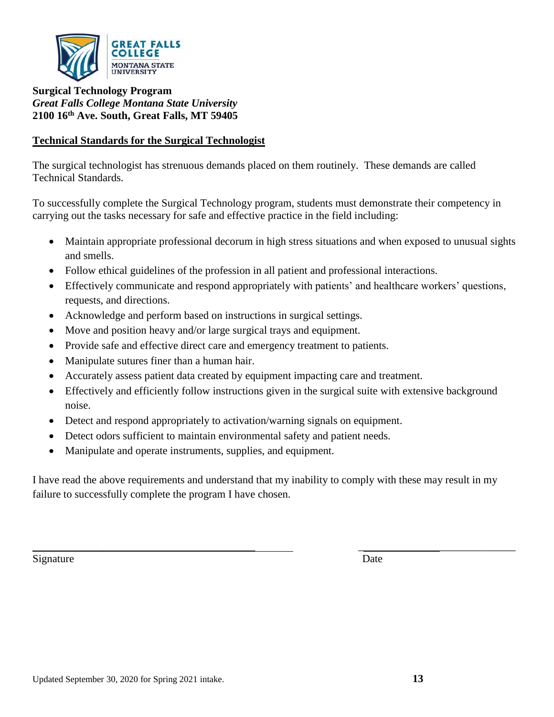

**Surgical Technology Program** *Great Falls College Montana State University* **2100 16th Ave. South, Great Falls, MT 59405**

#### **Technical Standards for the Surgical Technologist**

The surgical technologist has strenuous demands placed on them routinely. These demands are called Technical Standards.

To successfully complete the Surgical Technology program, students must demonstrate their competency in carrying out the tasks necessary for safe and effective practice in the field including:

- Maintain appropriate professional decorum in high stress situations and when exposed to unusual sights and smells.
- Follow ethical guidelines of the profession in all patient and professional interactions.
- Effectively communicate and respond appropriately with patients' and healthcare workers' questions, requests, and directions.
- Acknowledge and perform based on instructions in surgical settings.
- Move and position heavy and/or large surgical trays and equipment.
- Provide safe and effective direct care and emergency treatment to patients.
- Manipulate sutures finer than a human hair.
- Accurately assess patient data created by equipment impacting care and treatment.
- Effectively and efficiently follow instructions given in the surgical suite with extensive background noise.
- Detect and respond appropriately to activation/warning signals on equipment.
- Detect odors sufficient to maintain environmental safety and patient needs.
- Manipulate and operate instruments, supplies, and equipment.

I have read the above requirements and understand that my inability to comply with these may result in my failure to successfully complete the program I have chosen.

\_\_\_\_\_\_\_\_\_\_\_\_\_\_\_\_\_\_\_\_\_\_\_\_\_\_\_\_\_\_\_\_\_\_\_\_\_\_\_\_\_ \_\_\_\_\_\_\_\_\_\_\_\_\_\_\_\_\_\_\_\_\_\_\_\_\_\_\_\_\_

Signature Date